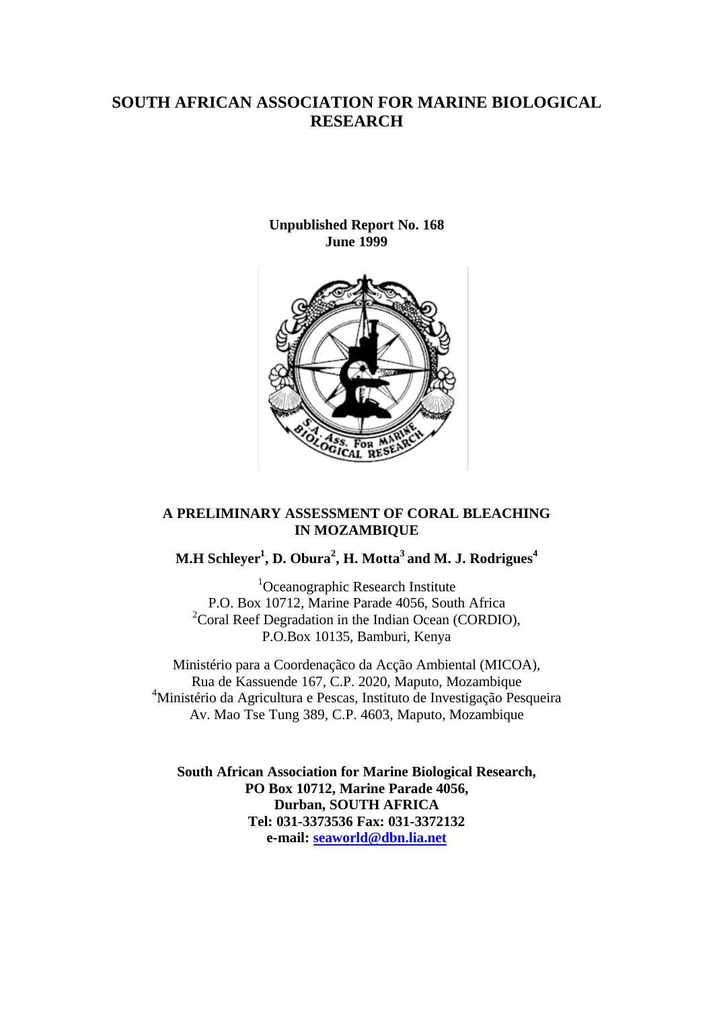## **SOUTH AFRICAN ASSOCIATION FOR MARINE BIOLOGICAL RESEARCH**

**Unpublished Report No. 168 June 1999**



## **A PRELIMINARY ASSESSMENT OF CORAL BLEACHING IN MOZAMBIQUE**

## **M.H Schleyer<sup>1</sup> , D. Obura<sup>2</sup> , H. Motta<sup>3</sup>and M. J. Rodrigues<sup>4</sup>**

<sup>1</sup>Oceanographic Research Institute P.O. Box 10712, Marine Parade 4056, South Africa  $2^2$ Coral Reef Degradation in the Indian Ocean (CORDIO), P.O.Box 10135, Bamburi, Kenya

Ministério para a Coordenaçãco da Acção Ambiental (MICOA), Rua de Kassuende 167, C.P. 2020, Maputo, Mozambique <sup>4</sup>Ministério da Agricultura e Pescas, Instituto de Investigação Pesqueira Av. Mao Tse Tung 389, C.P. 4603, Maputo, Mozambique

**South African Association for Marine Biological Research, PO Box 10712, Marine Parade 4056, Durban, SOUTH AFRICA Tel: 031-3373536 Fax: 031-3372132 e-mail: seaworld@dbn.lia.net**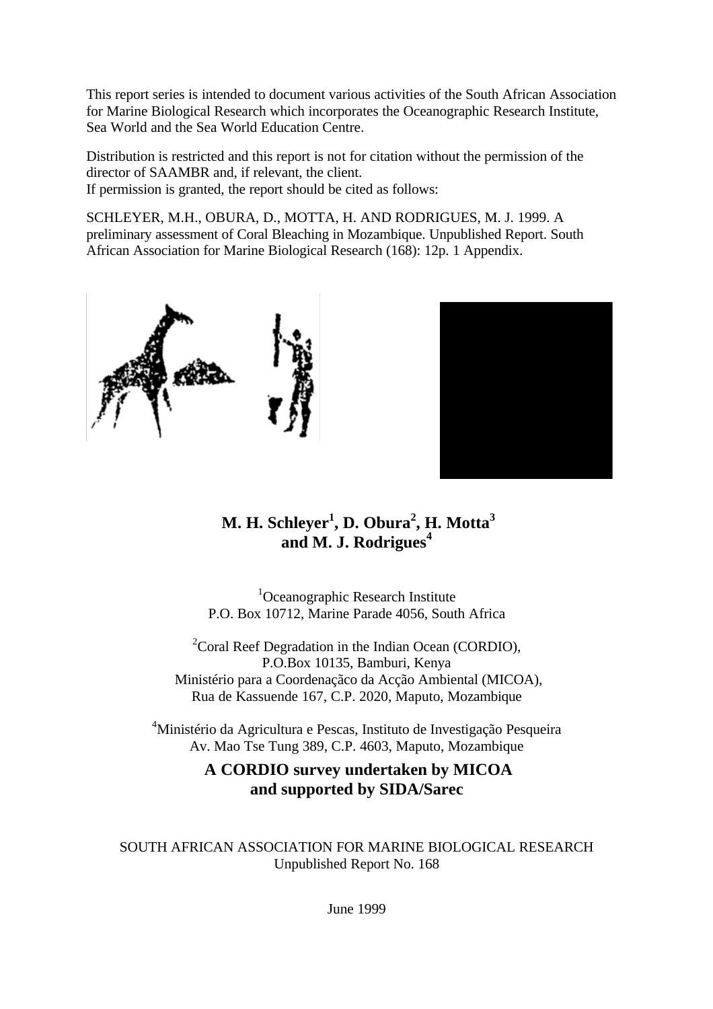This report series is intended to document various activities of the South African Association for Marine Biological Research which incorporates the Oceanographic Research Institute, Sea World and the Sea World Education Centre.

Distribution is restricted and this report is not for citation without the permission of the director of SAAMBR and, if relevant, the client. If permission is granted, the report should be cited as follows:

SCHLEYER, M.H., OBURA, D., MOTTA, H. AND RODRIGUES, M. J. 1999. A preliminary assessment of Coral Bleaching in Mozambique. Unpublished Report. South African Association for Marine Biological Research (168): 12p. 1 Appendix.





# **M. H. Schleyer<sup>1</sup> , D. Obura<sup>2</sup> , H. Motta<sup>3</sup> and M. J. Rodrigues<sup>4</sup>**

<sup>1</sup>Oceanographic Research Institute P.O. Box 10712, Marine Parade 4056, South Africa

 $2^2$ Coral Reef Degradation in the Indian Ocean (CORDIO), P.O.Box 10135, Bamburi, Kenya Ministério para a Coordenaçãco da Acção Ambiental (MICOA), Rua de Kassuende 167, C.P. 2020, Maputo, Mozambique

<sup>4</sup>Ministério da Agricultura e Pescas, Instituto de Investigação Pesqueira Av. Mao Tse Tung 389, C.P. 4603, Maputo, Mozambique

## **A CORDIO survey undertaken by MICOA and supported by SIDA/Sarec**

SOUTH AFRICAN ASSOCIATION FOR MARINE BIOLOGICAL RESEARCH Unpublished Report No. 168

June 1999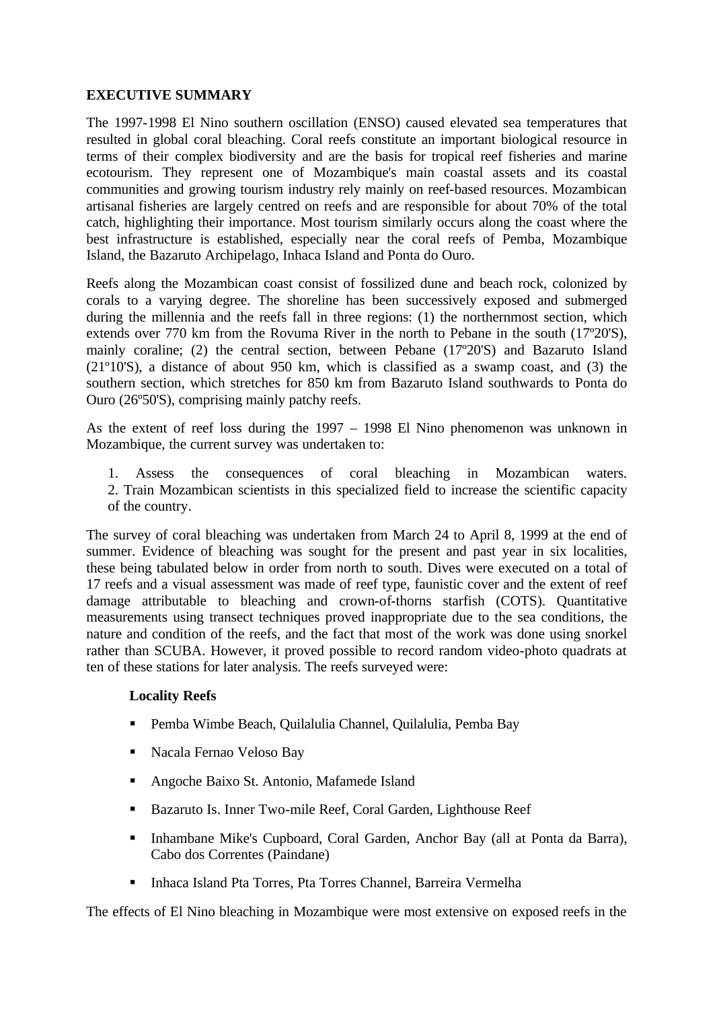## **EXECUTIVE SUMMARY**

The 1997-1998 El Nino southern oscillation (ENSO) caused elevated sea temperatures that resulted in global coral bleaching. Coral reefs constitute an important biological resource in terms of their complex biodiversity and are the basis for tropical reef fisheries and marine ecotourism. They represent one of Mozambique's main coastal assets and its coastal communities and growing tourism industry rely mainly on reef-based resources. Mozambican artisanal fisheries are largely centred on reefs and are responsible for about 70% of the total catch, highlighting their importance. Most tourism similarly occurs along the coast where the best infrastructure is established, especially near the coral reefs of Pemba, Mozambique Island, the Bazaruto Archipelago, Inhaca Island and Ponta do Ouro.

Reefs along the Mozambican coast consist of fossilized dune and beach rock, colonized by corals to a varying degree. The shoreline has been successively exposed and submerged during the millennia and the reefs fall in three regions: (1) the northernmost section, which extends over 770 km from the Rovuma River in the north to Pebane in the south (17º20'S), mainly coraline; (2) the central section, between Pebane (17º20'S) and Bazaruto Island (21º10'S), a distance of about 950 km, which is classified as a swamp coast, and (3) the southern section, which stretches for 850 km from Bazaruto Island southwards to Ponta do Ouro (26º50'S), comprising mainly patchy reefs.

As the extent of reef loss during the 1997 – 1998 El Nino phenomenon was unknown in Mozambique, the current survey was undertaken to:

1. Assess the consequences of coral bleaching in Mozambican waters. 2. Train Mozambican scientists in this specialized field to increase the scientific capacity of the country.

The survey of coral bleaching was undertaken from March 24 to April 8, 1999 at the end of summer. Evidence of bleaching was sought for the present and past year in six localities, these being tabulated below in order from north to south. Dives were executed on a total of 17 reefs and a visual assessment was made of reef type, faunistic cover and the extent of reef damage attributable to bleaching and crown-of-thorns starfish (COTS). Quantitative measurements using transect techniques proved inappropriate due to the sea conditions, the nature and condition of the reefs, and the fact that most of the work was done using snorkel rather than SCUBA. However, it proved possible to record random video-photo quadrats at ten of these stations for later analysis. The reefs surveyed were:

## **Locality Reefs**

- ß Pemba Wimbe Beach, Quilalulia Channel, Quilalulia, Pemba Bay
- **Kacala Fernao Veloso Bay**
- ß Angoche Baixo St. Antonio, Mafamede Island
- Bazaruto Is. Inner Two-mile Reef, Coral Garden, Lighthouse Reef
- **Inhambane Mike's Cupboard, Coral Garden, Anchor Bay (all at Ponta da Barra),** Cabo dos Correntes (Paindane)
- ß Inhaca Island Pta Torres, Pta Torres Channel, Barreira Vermelha

The effects of El Nino bleaching in Mozambique were most extensive on exposed reefs in the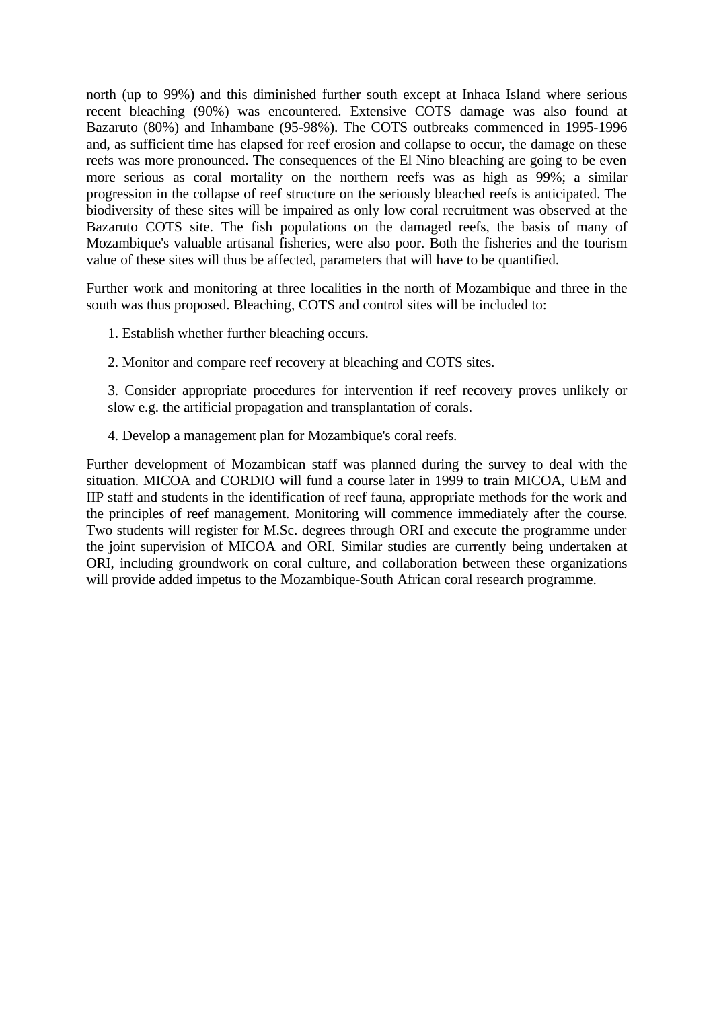north (up to 99%) and this diminished further south except at Inhaca Island where serious recent bleaching (90%) was encountered. Extensive COTS damage was also found at Bazaruto (80%) and Inhambane (95-98%). The COTS outbreaks commenced in 1995-1996 and, as sufficient time has elapsed for reef erosion and collapse to occur, the damage on these reefs was more pronounced. The consequences of the El Nino bleaching are going to be even more serious as coral mortality on the northern reefs was as high as 99%; a similar progression in the collapse of reef structure on the seriously bleached reefs is anticipated. The biodiversity of these sites will be impaired as only low coral recruitment was observed at the Bazaruto COTS site. The fish populations on the damaged reefs, the basis of many of Mozambique's valuable artisanal fisheries, were also poor. Both the fisheries and the tourism value of these sites will thus be affected, parameters that will have to be quantified.

Further work and monitoring at three localities in the north of Mozambique and three in the south was thus proposed. Bleaching, COTS and control sites will be included to:

1. Establish whether further bleaching occurs.

2. Monitor and compare reef recovery at bleaching and COTS sites.

3. Consider appropriate procedures for intervention if reef recovery proves unlikely or slow e.g. the artificial propagation and transplantation of corals.

4. Develop a management plan for Mozambique's coral reefs.

Further development of Mozambican staff was planned during the survey to deal with the situation. MICOA and CORDIO will fund a course later in 1999 to train MICOA, UEM and IIP staff and students in the identification of reef fauna, appropriate methods for the work and the principles of reef management. Monitoring will commence immediately after the course. Two students will register for M.Sc. degrees through ORI and execute the programme under the joint supervision of MICOA and ORI. Similar studies are currently being undertaken at ORI, including groundwork on coral culture, and collaboration between these organizations will provide added impetus to the Mozambique-South African coral research programme.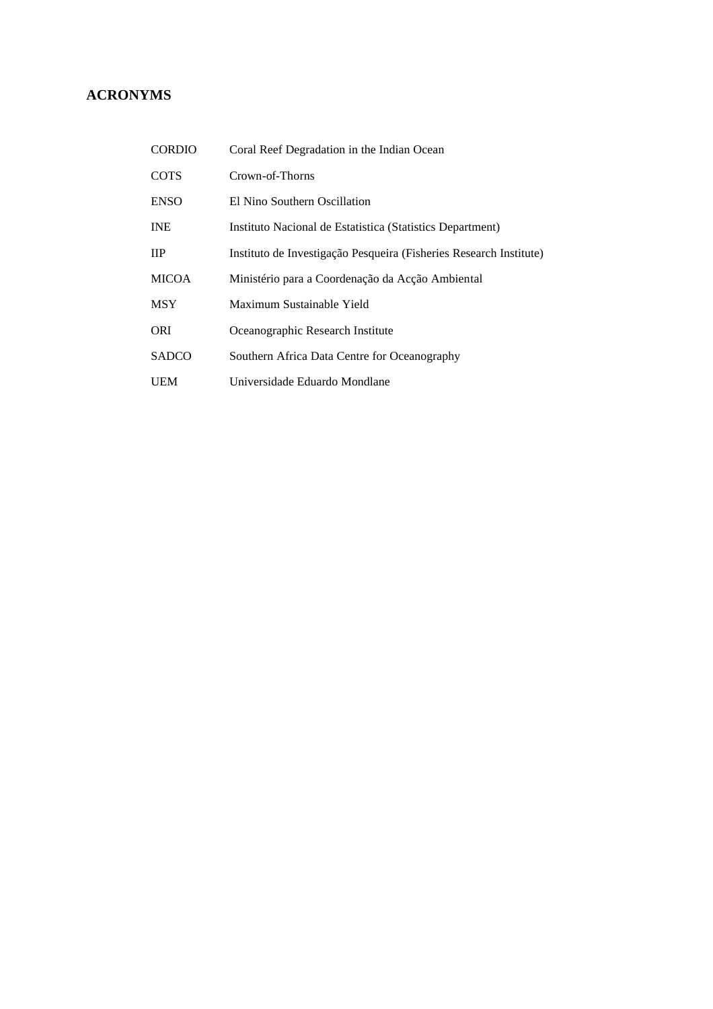## **ACRONYMS**

| <b>CORDIO</b> | Coral Reef Degradation in the Indian Ocean                         |
|---------------|--------------------------------------------------------------------|
| <b>COTS</b>   | Crown-of-Thorns                                                    |
| <b>ENSO</b>   | El Nino Southern Oscillation                                       |
| <b>INE</b>    | Instituto Nacional de Estatística (Statístics Department)          |
| <b>IIP</b>    | Instituto de Investigação Pesqueira (Fisheries Research Institute) |
| <b>MICOA</b>  | Ministério para a Coordenação da Acção Ambiental                   |
| <b>MSY</b>    | Maximum Sustainable Yield                                          |
| <b>ORI</b>    | Oceanographic Research Institute                                   |
| <b>SADCO</b>  | Southern Africa Data Centre for Oceanography                       |
| UEM           | Universidade Eduardo Mondlane                                      |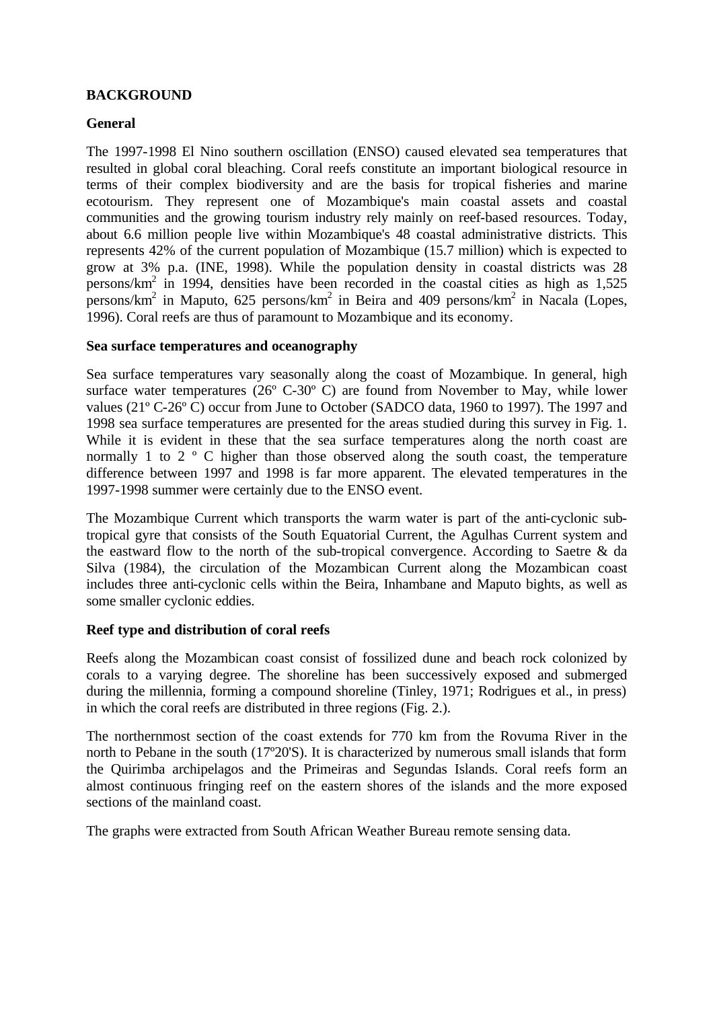## **BACKGROUND**

## **General**

The 1997-1998 El Nino southern oscillation (ENSO) caused elevated sea temperatures that resulted in global coral bleaching. Coral reefs constitute an important biological resource in terms of their complex biodiversity and are the basis for tropical fisheries and marine ecotourism. They represent one of Mozambique's main coastal assets and coastal communities and the growing tourism industry rely mainly on reef-based resources. Today, about 6.6 million people live within Mozambique's 48 coastal administrative districts. This represents 42% of the current population of Mozambique (15.7 million) which is expected to grow at 3% p.a. (INE, 1998). While the population density in coastal districts was 28 persons/km<sup>2</sup> in 1994, densities have been recorded in the coastal cities as high as 1,525 persons/km<sup>2</sup> in Maputo, 625 persons/km<sup>2</sup> in Beira and 409 persons/km<sup>2</sup> in Nacala (Lopes, 1996). Coral reefs are thus of paramount to Mozambique and its economy.

## **Sea surface temperatures and oceanography**

Sea surface temperatures vary seasonally along the coast of Mozambique. In general, high surface water temperatures (26º C-30º C) are found from November to May, while lower values (21º C-26º C) occur from June to October (SADCO data, 1960 to 1997). The 1997 and 1998 sea surface temperatures are presented for the areas studied during this survey in Fig. 1. While it is evident in these that the sea surface temperatures along the north coast are normally 1 to 2 ° C higher than those observed along the south coast, the temperature difference between 1997 and 1998 is far more apparent. The elevated temperatures in the 1997-1998 summer were certainly due to the ENSO event.

The Mozambique Current which transports the warm water is part of the anti-cyclonic subtropical gyre that consists of the South Equatorial Current, the Agulhas Current system and the eastward flow to the north of the sub-tropical convergence. According to Saetre & da Silva (1984), the circulation of the Mozambican Current along the Mozambican coast includes three anti-cyclonic cells within the Beira, Inhambane and Maputo bights, as well as some smaller cyclonic eddies.

## **Reef type and distribution of coral reefs**

Reefs along the Mozambican coast consist of fossilized dune and beach rock colonized by corals to a varying degree. The shoreline has been successively exposed and submerged during the millennia, forming a compound shoreline (Tinley, 1971; Rodrigues et al., in press) in which the coral reefs are distributed in three regions (Fig. 2.).

The northernmost section of the coast extends for 770 km from the Rovuma River in the north to Pebane in the south (17º20'S). It is characterized by numerous small islands that form the Quirimba archipelagos and the Primeiras and Segundas Islands. Coral reefs form an almost continuous fringing reef on the eastern shores of the islands and the more exposed sections of the mainland coast.

The graphs were extracted from South African Weather Bureau remote sensing data.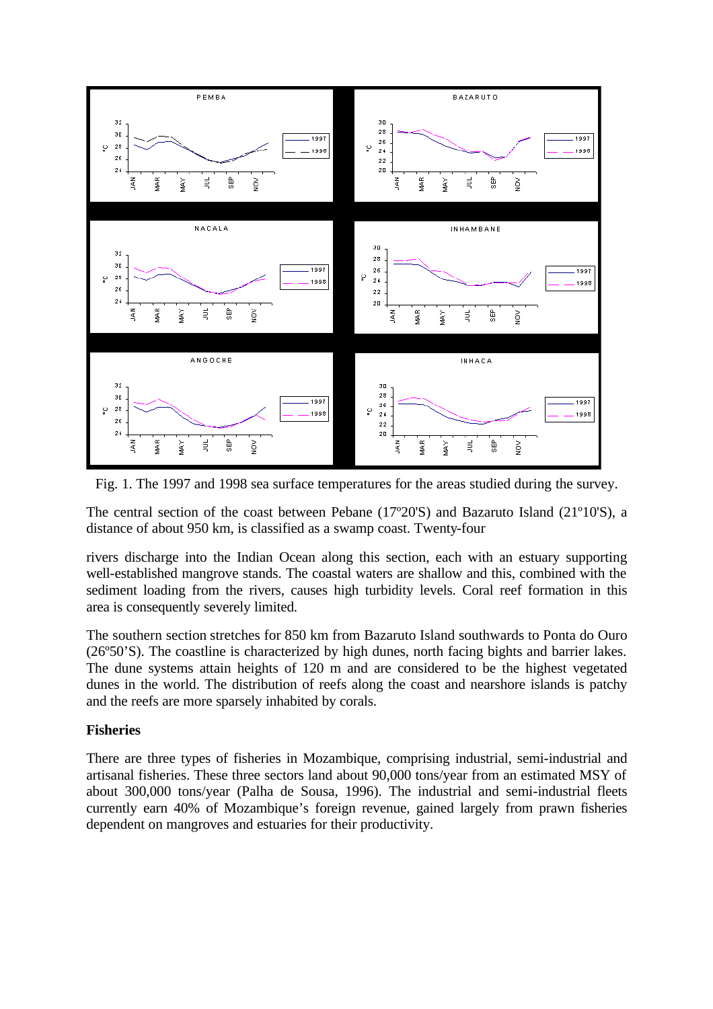

Fig. 1. The 1997 and 1998 sea surface temperatures for the areas studied during the survey.

The central section of the coast between Pebane (17º20'S) and Bazaruto Island (21º10'S), a distance of about 950 km, is classified as a swamp coast. Twenty-four

rivers discharge into the Indian Ocean along this section, each with an estuary supporting well-established mangrove stands. The coastal waters are shallow and this, combined with the sediment loading from the rivers, causes high turbidity levels. Coral reef formation in this area is consequently severely limited.

The southern section stretches for 850 km from Bazaruto Island southwards to Ponta do Ouro (26º50'S). The coastline is characterized by high dunes, north facing bights and barrier lakes. The dune systems attain heights of 120 m and are considered to be the highest vegetated dunes in the world. The distribution of reefs along the coast and nearshore islands is patchy and the reefs are more sparsely inhabited by corals.

#### **Fisheries**

There are three types of fisheries in Mozambique, comprising industrial, semi-industrial and artisanal fisheries. These three sectors land about 90,000 tons/year from an estimated MSY of about 300,000 tons/year (Palha de Sousa, 1996). The industrial and semi-industrial fleets currently earn 40% of Mozambique's foreign revenue, gained largely from prawn fisheries dependent on mangroves and estuaries for their productivity.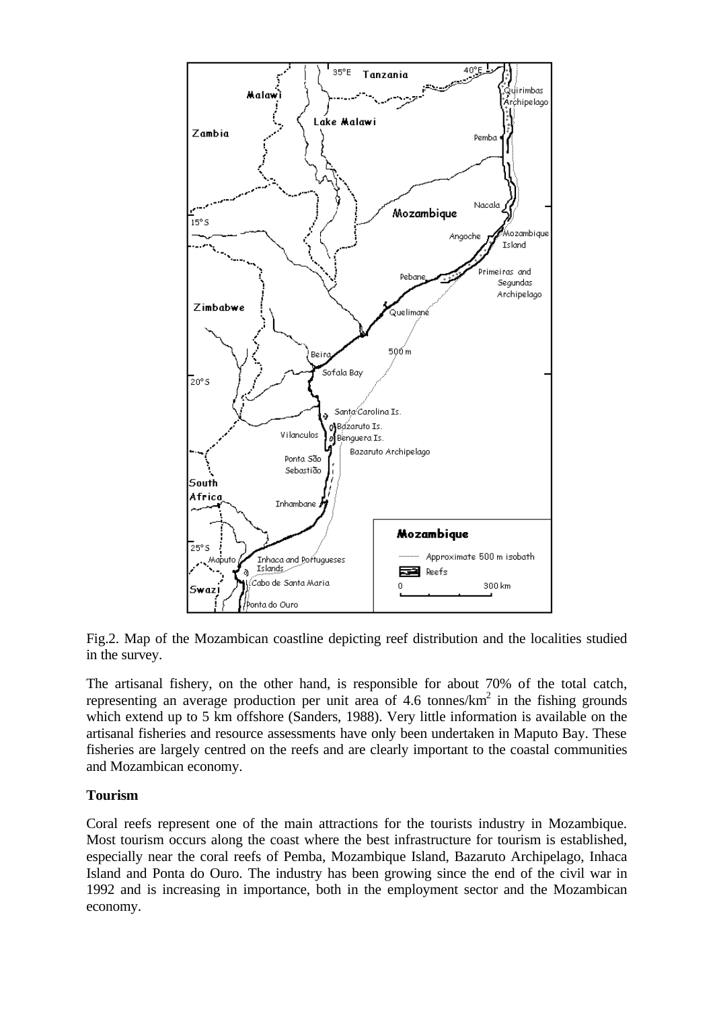

Fig.2. Map of the Mozambican coastline depicting reef distribution and the localities studied in the survey.

The artisanal fishery, on the other hand, is responsible for about 70% of the total catch, representing an average production per unit area of 4.6 tonnes/ $km^2$  in the fishing grounds which extend up to 5 km offshore (Sanders, 1988). Very little information is available on the artisanal fisheries and resource assessments have only been undertaken in Maputo Bay. These fisheries are largely centred on the reefs and are clearly important to the coastal communities and Mozambican economy.

## **Tourism**

Coral reefs represent one of the main attractions for the tourists industry in Mozambique. Most tourism occurs along the coast where the best infrastructure for tourism is established, especially near the coral reefs of Pemba, Mozambique Island, Bazaruto Archipelago, Inhaca Island and Ponta do Ouro. The industry has been growing since the end of the civil war in 1992 and is increasing in importance, both in the employment sector and the Mozambican economy.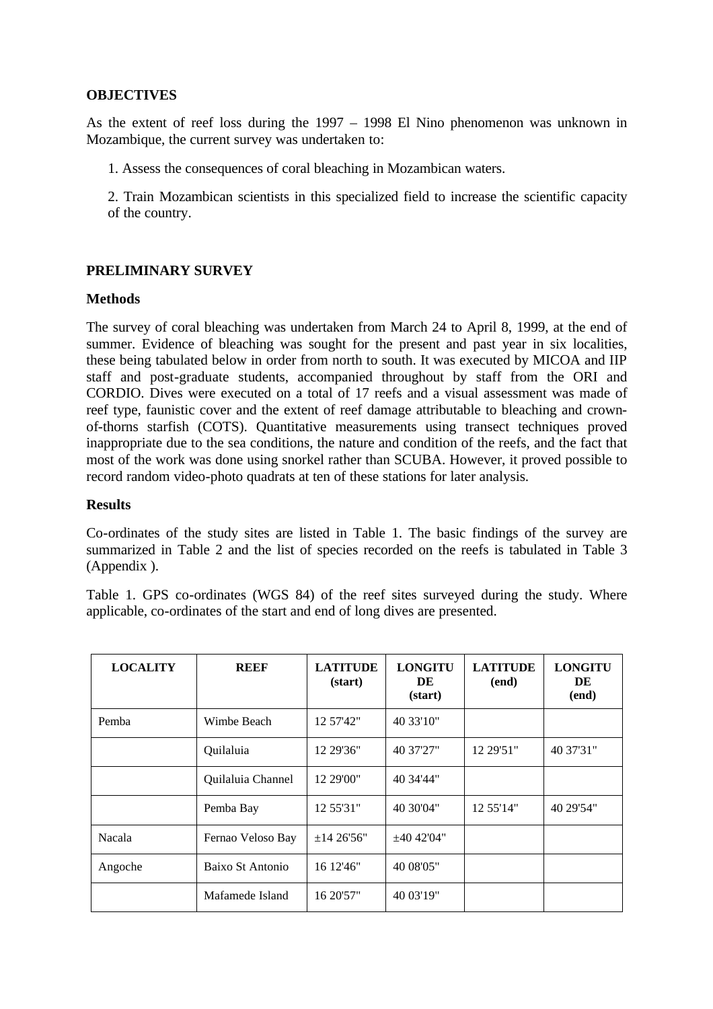## **OBJECTIVES**

As the extent of reef loss during the 1997 – 1998 El Nino phenomenon was unknown in Mozambique, the current survey was undertaken to:

1. Assess the consequences of coral bleaching in Mozambican waters.

2. Train Mozambican scientists in this specialized field to increase the scientific capacity of the country.

## **PRELIMINARY SURVEY**

## **Methods**

The survey of coral bleaching was undertaken from March 24 to April 8, 1999, at the end of summer. Evidence of bleaching was sought for the present and past year in six localities, these being tabulated below in order from north to south. It was executed by MICOA and IIP staff and post-graduate students, accompanied throughout by staff from the ORI and CORDIO. Dives were executed on a total of 17 reefs and a visual assessment was made of reef type, faunistic cover and the extent of reef damage attributable to bleaching and crownof-thorns starfish (COTS). Quantitative measurements using transect techniques proved inappropriate due to the sea conditions, the nature and condition of the reefs, and the fact that most of the work was done using snorkel rather than SCUBA. However, it proved possible to record random video-photo quadrats at ten of these stations for later analysis.

## **Results**

Co-ordinates of the study sites are listed in Table 1. The basic findings of the survey are summarized in Table 2 and the list of species recorded on the reefs is tabulated in Table 3 (Appendix ).

Table 1. GPS co-ordinates (WGS 84) of the reef sites surveyed during the study. Where applicable, co-ordinates of the start and end of long dives are presented.

| <b>LOCALITY</b> | <b>REEF</b>       | <b>LATITUDE</b><br>(start) | <b>LONGITU</b><br>DE<br>(start) | <b>LATITUDE</b><br>(end) | <b>LONGITU</b><br>DE<br>(end) |
|-----------------|-------------------|----------------------------|---------------------------------|--------------------------|-------------------------------|
| Pemba           | Wimbe Beach       | 12 57'42"                  | 40 33'10"                       |                          |                               |
|                 | Quilaluia         | 12 29'36"                  | 40 37'27"                       | 12 29'51"                | 40 37'31"                     |
|                 | Quilaluia Channel | 12 29'00"                  | 40 34'44"                       |                          |                               |
|                 | Pemba Bay         | 12 55'31"                  | 40 30'04"                       | 12 55'14"                | 40 29'54"                     |
| Nacala          | Fernao Veloso Bay | ±1426'56"                  | $\pm 40$ 42'04"                 |                          |                               |
| Angoche         | Baixo St Antonio  | 16 12'46"                  | 40 08'05"                       |                          |                               |
|                 | Mafamede Island   | 16 20'57"                  | 40 03'19"                       |                          |                               |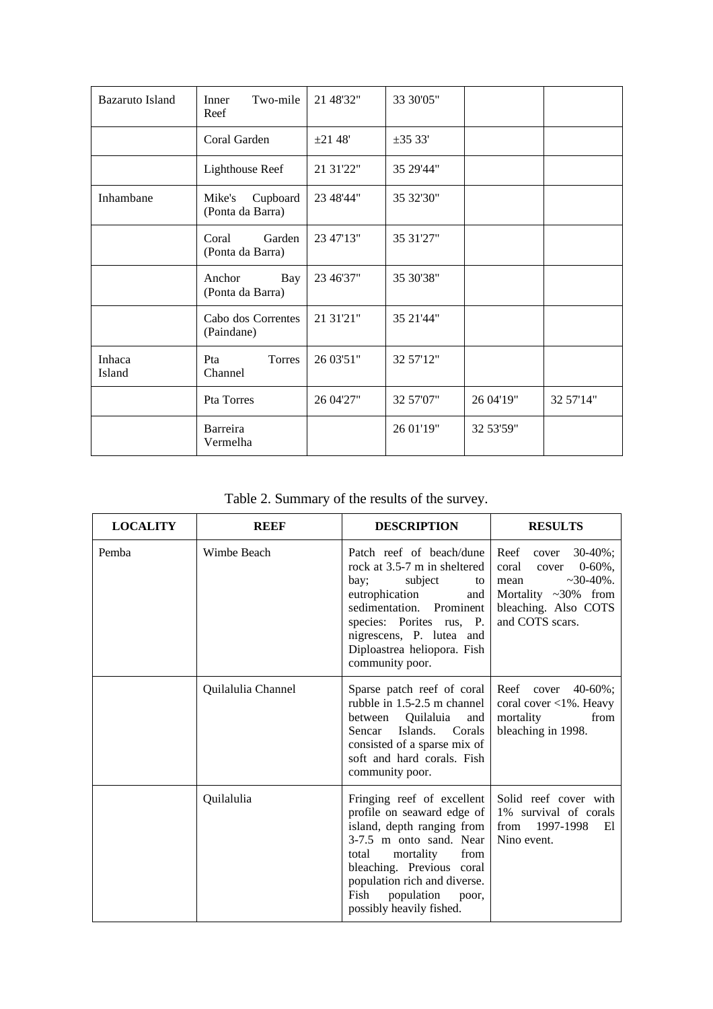| <b>Bazaruto Island</b> | Two-mile<br>Inner<br>Reef              | 21 48'32" | 33 30'05"    |           |           |
|------------------------|----------------------------------------|-----------|--------------|-----------|-----------|
|                        | Coral Garden                           | ±2148'    | $\pm 35$ 33' |           |           |
|                        | <b>Lighthouse Reef</b>                 | 21 31'22" | 35 29'44"    |           |           |
| Inhambane              | Mike's<br>Cupboard<br>(Ponta da Barra) | 23 48'44" | 35 32'30"    |           |           |
|                        | Coral<br>Garden<br>(Ponta da Barra)    | 23 47'13" | 35 31'27"    |           |           |
|                        | Anchor<br>Bay<br>(Ponta da Barra)      | 23 46'37" | 35 30'38"    |           |           |
|                        | Cabo dos Correntes<br>(Paindane)       | 21 31'21" | 35 21'44"    |           |           |
| Inhaca<br>Island       | Pta<br>Torres<br>Channel               | 26 03'51" | 32 57'12"    |           |           |
|                        | Pta Torres                             | 26 04'27" | 32 57'07"    | 26 04'19" | 32 57'14" |
|                        | Barreira<br>Vermelha                   |           | 26 01'19"    | 32 53'59" |           |

Table 2. Summary of the results of the survey.

| <b>LOCALITY</b> | <b>REEF</b>        | <b>DESCRIPTION</b>                                                                                                                                                                                                                                                      | <b>RESULTS</b>                                                                                                                                      |
|-----------------|--------------------|-------------------------------------------------------------------------------------------------------------------------------------------------------------------------------------------------------------------------------------------------------------------------|-----------------------------------------------------------------------------------------------------------------------------------------------------|
| Pemba           | Wimbe Beach        | Patch reef of beach/dune<br>rock at 3.5-7 m in sheltered<br>subject<br>bay;<br>to<br>eutrophication<br>and<br>sedimentation. Prominent<br>species: Porites rus, P.<br>nigrescens, P. lutea and<br>Diploastrea heliopora. Fish<br>community poor.                        | Reef cover 30-40%;<br>coral<br>$0-60\%$ ,<br>cover<br>$~10-40\%$ .<br>mean<br>Mortality $\sim 30\%$ from<br>bleaching. Also COTS<br>and COTS scars. |
|                 | Quilalulia Channel | Sparse patch reef of coral<br>rubble in 1.5-2.5 m channel<br>between Quilaluia<br>and<br>Islands. Corals<br>Sencar<br>consisted of a sparse mix of<br>soft and hard corals. Fish<br>community poor.                                                                     | Reef cover $40-60\%$ ;<br>coral cover $\langle 1\%$ . Heavy<br>from<br>mortality<br>bleaching in 1998.                                              |
|                 | Quilalulia         | Fringing reef of excellent<br>profile on seaward edge of<br>island, depth ranging from<br>3-7.5 m onto sand. Near<br>mortality<br>from<br>total<br>bleaching. Previous coral<br>population rich and diverse.<br>population<br>Fish<br>poor,<br>possibly heavily fished. | Solid reef cover with<br>1% survival of corals<br>from 1997-1998<br>El<br>Nino event.                                                               |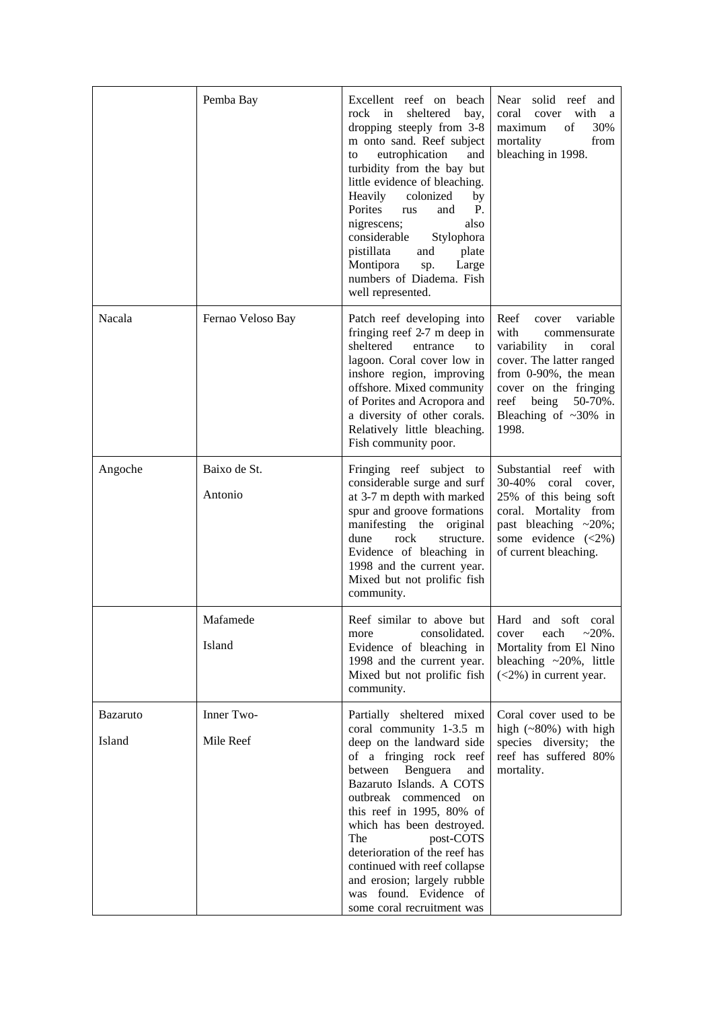|                           | Pemba Bay               | Excellent reef on beach<br>rock in<br>sheltered<br>bay,<br>dropping steeply from 3-8<br>m onto sand. Reef subject<br>eutrophication<br>and<br>to<br>turbidity from the bay but<br>little evidence of bleaching.<br>Heavily<br>colonized<br>by<br>Porites<br><b>P.</b><br>rus<br>and<br>also<br>nigrescens;<br>considerable<br>Stylophora<br>pistillata<br>plate<br>and<br>Montipora<br>Large<br>sp.<br>numbers of Diadema. Fish<br>well represented. | Near solid reef and<br>cover<br>with<br>coral<br>a a<br>30%<br>of<br>maximum<br>mortality<br>from<br>bleaching in 1998.                                                                                                       |
|---------------------------|-------------------------|------------------------------------------------------------------------------------------------------------------------------------------------------------------------------------------------------------------------------------------------------------------------------------------------------------------------------------------------------------------------------------------------------------------------------------------------------|-------------------------------------------------------------------------------------------------------------------------------------------------------------------------------------------------------------------------------|
| Nacala                    | Fernao Veloso Bay       | Patch reef developing into<br>fringing reef 2-7 m deep in<br>sheltered<br>entrance<br>to<br>lagoon. Coral cover low in<br>inshore region, improving<br>offshore. Mixed community<br>of Porites and Acropora and<br>a diversity of other corals.<br>Relatively little bleaching.<br>Fish community poor.                                                                                                                                              | Reef<br>cover variable<br>with<br>commensurate<br>variability<br>in<br>coral<br>cover. The latter ranged<br>from 0-90%, the mean<br>cover on the fringing<br>reef<br>being<br>$50-70\%$ .<br>Bleaching of $~50\%$ in<br>1998. |
| Angoche                   | Baixo de St.<br>Antonio | Fringing reef subject to<br>considerable surge and surf<br>at 3-7 m depth with marked<br>spur and groove formations<br>manifesting the<br>original<br>rock<br>dune<br>structure.<br>Evidence of bleaching in<br>1998 and the current year.<br>Mixed but not prolific fish<br>community.                                                                                                                                                              | Substantial reef with<br>30-40%<br>coral cover,<br>25% of this being soft<br>coral. Mortality from<br>past bleaching $\approx 20\%$ ;<br>some evidence $(\leq 2\%)$<br>of current bleaching.                                  |
|                           | Mafamede<br>Island      | Reef similar to above but Hard and soft coral<br>consolidated.<br>more<br>Evidence of bleaching in<br>1998 and the current year.<br>Mixed but not prolific fish<br>community.                                                                                                                                                                                                                                                                        | $~20\%$ .<br>each<br>cover<br>Mortality from El Nino<br>bleaching $\sim$ 20%, little<br>$(<2\%)$ in current year.                                                                                                             |
| <b>Bazaruto</b><br>Island | Inner Two-<br>Mile Reef | Partially sheltered mixed<br>coral community 1-3.5 m<br>deep on the landward side<br>of a fringing rock reef<br>Benguera<br>between<br>and<br>Bazaruto Islands. A COTS<br>outbreak commenced on<br>this reef in 1995, $80\%$ of<br>which has been destroyed.<br>The<br>post-COTS<br>deterioration of the reef has<br>continued with reef collapse<br>and erosion; largely rubble<br>was found. Evidence of<br>some coral recruitment was             | Coral cover used to be<br>high $(*80%)$ with high<br>species diversity; the<br>reef has suffered 80%<br>mortality.                                                                                                            |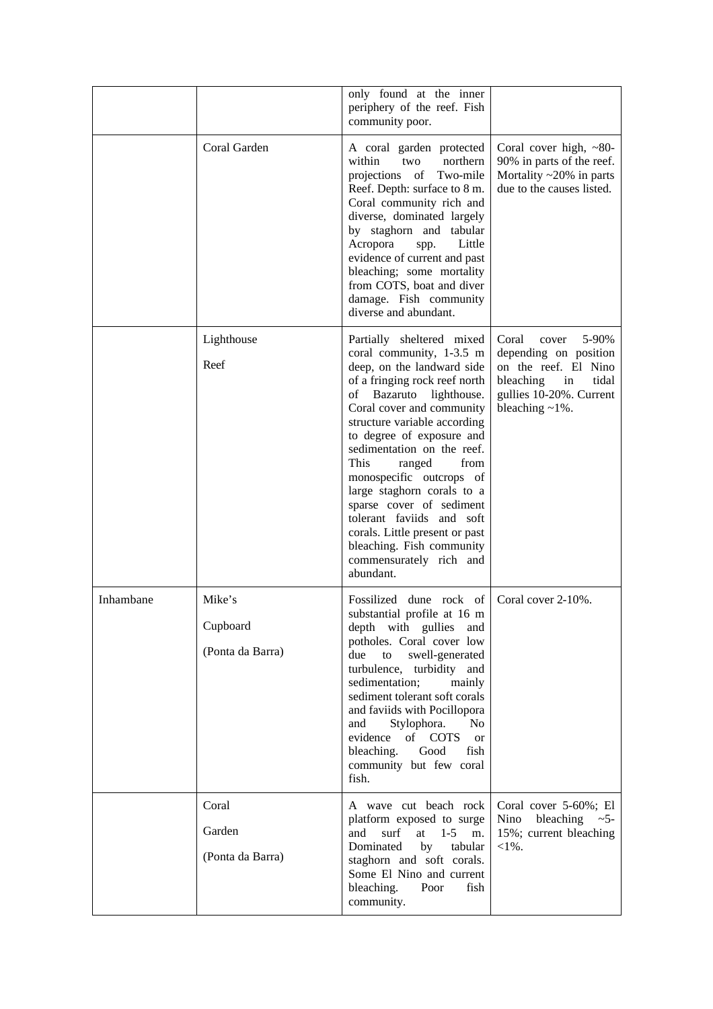|           |                                        | only found at the inner<br>periphery of the reef. Fish<br>community poor.                                                                                                                                                                                                                                                                                                                                                                                                                                                         |                                                                                                                                                       |
|-----------|----------------------------------------|-----------------------------------------------------------------------------------------------------------------------------------------------------------------------------------------------------------------------------------------------------------------------------------------------------------------------------------------------------------------------------------------------------------------------------------------------------------------------------------------------------------------------------------|-------------------------------------------------------------------------------------------------------------------------------------------------------|
|           | Coral Garden                           | A coral garden protected<br>within<br>two<br>northern<br>of<br>Two-mile<br>projections<br>Reef. Depth: surface to 8 m.<br>Coral community rich and<br>diverse, dominated largely<br>by staghorn and tabular<br>Acropora<br>Little<br>spp.<br>evidence of current and past<br>bleaching; some mortality<br>from COTS, boat and diver<br>damage. Fish community<br>diverse and abundant.                                                                                                                                            | Coral cover high, $~80-$<br>90% in parts of the reef.<br>Mortality $\sim$ 20% in parts<br>due to the causes listed.                                   |
|           | Lighthouse<br>Reef                     | Partially sheltered mixed<br>coral community, 1-3.5 m<br>deep, on the landward side<br>of a fringing rock reef north<br>Bazaruto<br>of<br>lighthouse.<br>Coral cover and community<br>structure variable according<br>to degree of exposure and<br>sedimentation on the reef.<br>This<br>from<br>ranged<br>monospecific outcrops of<br>large staghorn corals to a<br>sparse cover of sediment<br>tolerant faviids and soft<br>corals. Little present or past<br>bleaching. Fish community<br>commensurately rich and<br>abundant. | 5-90%<br>Coral<br>cover<br>depending on position<br>on the reef. El Nino<br>bleaching<br>in<br>tidal<br>gullies 10-20%. Current<br>bleaching $~1\%$ . |
| Inhambane | Mike's<br>Cupboard<br>(Ponta da Barra) | Fossilized dune rock of<br>substantial profile at 16 m<br>depth with gullies<br>and<br>potholes. Coral cover low<br>swell-generated<br>due<br>to<br>turbulence, turbidity and<br>sedimentation;<br>mainly<br>sediment tolerant soft corals<br>and faviids with Pocillopora<br>Stylophora.<br>and<br>No.<br>evidence of COTS<br><sub>or</sub><br>bleaching.<br>fish<br>Good<br>community but few coral<br>fish.                                                                                                                    | Coral cover 2-10%.                                                                                                                                    |
|           | Coral<br>Garden<br>(Ponta da Barra)    | A wave cut beach rock<br>platform exposed to surge<br>surf<br>and<br>at<br>$1 - 5$<br>m.<br>Dominated<br>by<br>tabular<br>staghorn and soft corals.<br>Some El Nino and current<br>bleaching.<br>Poor<br>fish<br>community.                                                                                                                                                                                                                                                                                                       | Coral cover 5-60%; El<br>Nino<br>bleaching $\sim$ 5-<br>15%; current bleaching<br>$<\!\!1\%$ .                                                        |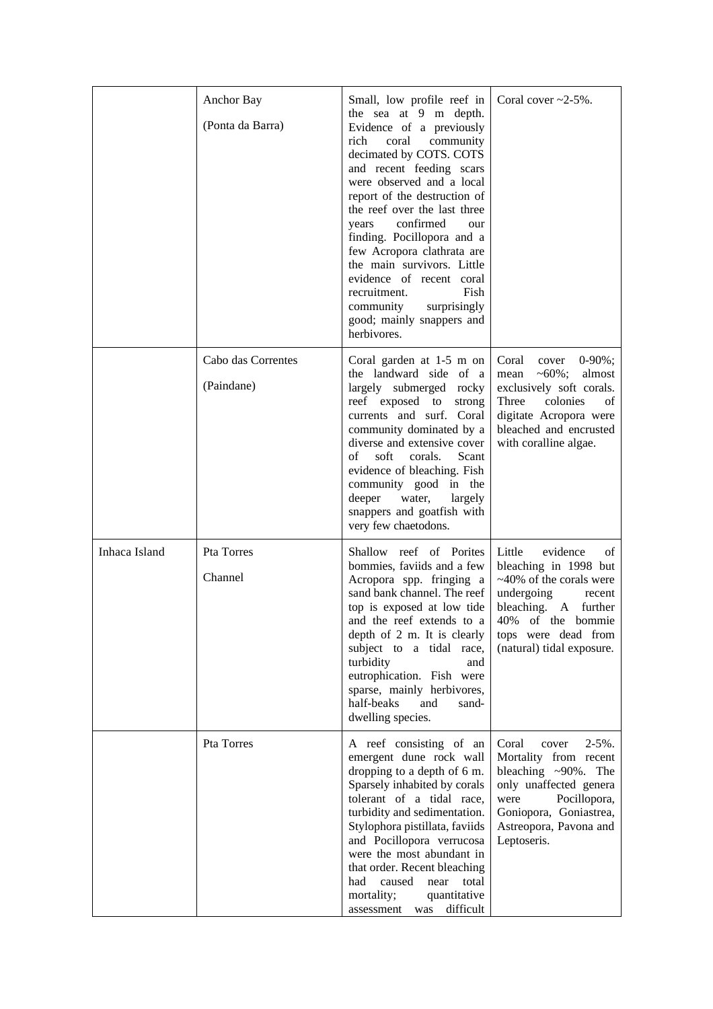|               | Anchor Bay<br>(Ponta da Barra)   | Small, low profile reef in<br>the sea at 9 m depth.<br>Evidence of a previously<br>rich<br>coral community<br>decimated by COTS. COTS<br>and recent feeding scars<br>were observed and a local<br>report of the destruction of<br>the reef over the last three<br>confirmed<br>years<br>our<br>finding. Pocillopora and a<br>few Acropora clathrata are<br>the main survivors. Little<br>evidence of recent coral<br>recruitment.<br>Fish<br>community<br>surprisingly<br>good; mainly snappers and<br>herbivores. | Coral cover $\approx$ 2-5%.                                                                                                                                                                              |
|---------------|----------------------------------|--------------------------------------------------------------------------------------------------------------------------------------------------------------------------------------------------------------------------------------------------------------------------------------------------------------------------------------------------------------------------------------------------------------------------------------------------------------------------------------------------------------------|----------------------------------------------------------------------------------------------------------------------------------------------------------------------------------------------------------|
|               | Cabo das Correntes<br>(Paindane) | Coral garden at 1-5 m on<br>the landward side of a<br>largely submerged rocky<br>reef exposed to<br>strong<br>currents and surf. Coral<br>community dominated by a<br>diverse and extensive cover<br>soft<br>Scant<br>of<br>corals.<br>evidence of bleaching. Fish<br>community good in the<br>deeper<br>water,<br>largely<br>snappers and goatfish with<br>very few chaetodons.                                                                                                                                   | Coral<br>cover<br>$0-90\%$ ;<br>$~10\%$ ;<br>almost<br>mean<br>exclusively soft corals.<br>Three<br>colonies<br>of<br>digitate Acropora were<br>bleached and encrusted<br>with coralline algae.          |
| Inhaca Island | Pta Torres<br>Channel            | Shallow reef of Porites<br>bommies, faviids and a few<br>Acropora spp. fringing a<br>sand bank channel. The reef<br>top is exposed at low tide<br>and the reef extends to a<br>depth of 2 m. It is clearly<br>subject to a tidal race,<br>turbidity<br>and<br>eutrophication. Fish were<br>sparse, mainly herbivores,<br>half-beaks<br>and<br>sand-<br>dwelling species.                                                                                                                                           | Little<br>evidence<br>of<br>bleaching in 1998 but<br>$~10\%$ of the corals were<br>undergoing<br>recent<br>bleaching. A further<br>40% of the bommie<br>tops were dead from<br>(natural) tidal exposure. |
|               | Pta Torres                       | A reef consisting of an<br>emergent dune rock wall<br>dropping to a depth of 6 m.<br>Sparsely inhabited by corals<br>tolerant of a tidal race,<br>turbidity and sedimentation.<br>Stylophora pistillata, faviids<br>and Pocillopora verrucosa<br>were the most abundant in<br>that order. Recent bleaching<br>caused<br>had<br>near<br>total<br>mortality;<br>quantitative<br>assessment was difficult                                                                                                             | Coral<br>$2-5\%$ .<br>cover<br>Mortality from recent<br>bleaching $\sim$ 90%. The<br>only unaffected genera<br>Pocillopora,<br>were<br>Goniopora, Goniastrea,<br>Astreopora, Pavona and<br>Leptoseris.   |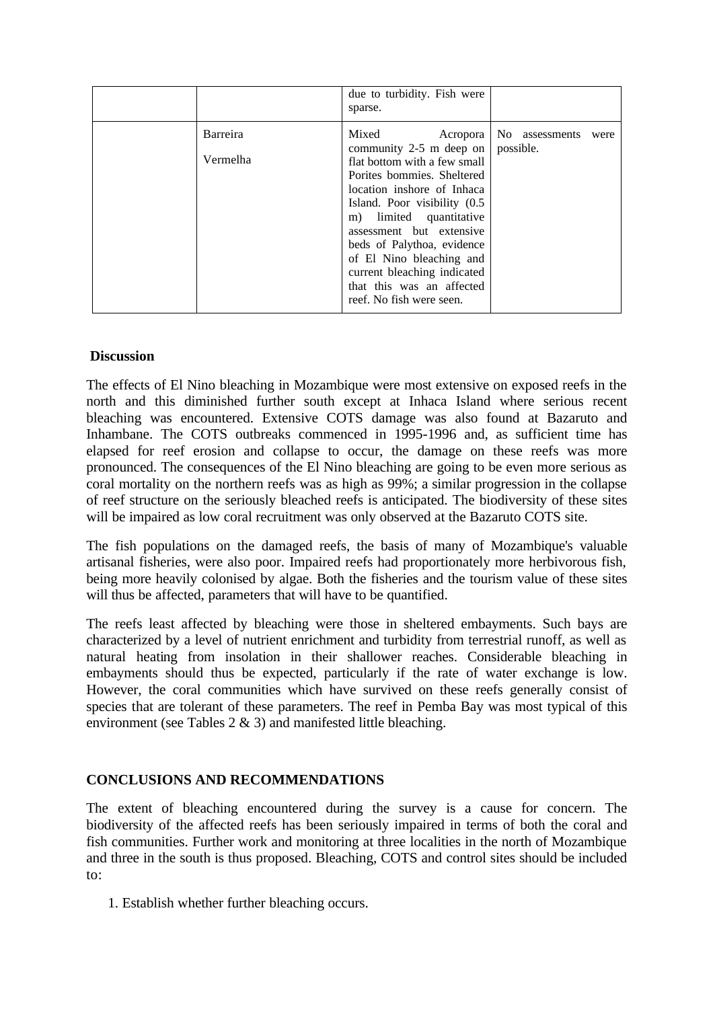|                      | due to turbidity. Fish were<br>sparse.                                                                                                                                                                                                                                                                                                                                             |                                     |
|----------------------|------------------------------------------------------------------------------------------------------------------------------------------------------------------------------------------------------------------------------------------------------------------------------------------------------------------------------------------------------------------------------------|-------------------------------------|
| Barreira<br>Vermelha | Mixed<br>Acropora<br>community 2-5 m deep on<br>flat bottom with a few small<br>Porites bommies. Sheltered<br>location inshore of Inhaca<br>Island. Poor visibility (0.5)<br>m) limited quantitative<br>assessment but extensive<br>beds of Palythoa, evidence<br>of El Nino bleaching and<br>current bleaching indicated<br>that this was an affected<br>reef. No fish were seen. | No assessments<br>were<br>possible. |

## **Discussion**

The effects of El Nino bleaching in Mozambique were most extensive on exposed reefs in the north and this diminished further south except at Inhaca Island where serious recent bleaching was encountered. Extensive COTS damage was also found at Bazaruto and Inhambane. The COTS outbreaks commenced in 1995-1996 and, as sufficient time has elapsed for reef erosion and collapse to occur, the damage on these reefs was more pronounced. The consequences of the El Nino bleaching are going to be even more serious as coral mortality on the northern reefs was as high as 99%; a similar progression in the collapse of reef structure on the seriously bleached reefs is anticipated. The biodiversity of these sites will be impaired as low coral recruitment was only observed at the Bazaruto COTS site.

The fish populations on the damaged reefs, the basis of many of Mozambique's valuable artisanal fisheries, were also poor. Impaired reefs had proportionately more herbivorous fish, being more heavily colonised by algae. Both the fisheries and the tourism value of these sites will thus be affected, parameters that will have to be quantified.

The reefs least affected by bleaching were those in sheltered embayments. Such bays are characterized by a level of nutrient enrichment and turbidity from terrestrial runoff, as well as natural heating from insolation in their shallower reaches. Considerable bleaching in embayments should thus be expected, particularly if the rate of water exchange is low. However, the coral communities which have survived on these reefs generally consist of species that are tolerant of these parameters. The reef in Pemba Bay was most typical of this environment (see Tables 2 & 3) and manifested little bleaching.

## **CONCLUSIONS AND RECOMMENDATIONS**

The extent of bleaching encountered during the survey is a cause for concern. The biodiversity of the affected reefs has been seriously impaired in terms of both the coral and fish communities. Further work and monitoring at three localities in the north of Mozambique and three in the south is thus proposed. Bleaching, COTS and control sites should be included to:

1. Establish whether further bleaching occurs.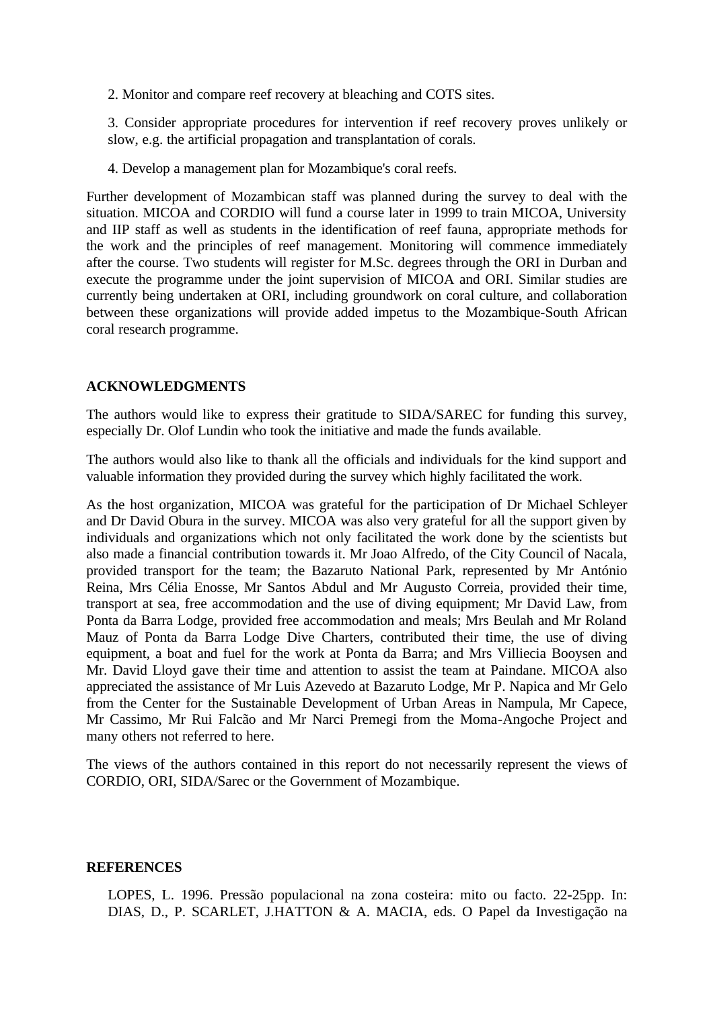2. Monitor and compare reef recovery at bleaching and COTS sites.

3. Consider appropriate procedures for intervention if reef recovery proves unlikely or slow, e.g. the artificial propagation and transplantation of corals.

4. Develop a management plan for Mozambique's coral reefs.

Further development of Mozambican staff was planned during the survey to deal with the situation. MICOA and CORDIO will fund a course later in 1999 to train MICOA, University and IIP staff as well as students in the identification of reef fauna, appropriate methods for the work and the principles of reef management. Monitoring will commence immediately after the course. Two students will register for M.Sc. degrees through the ORI in Durban and execute the programme under the joint supervision of MICOA and ORI. Similar studies are currently being undertaken at ORI, including groundwork on coral culture, and collaboration between these organizations will provide added impetus to the Mozambique-South African coral research programme.

## **ACKNOWLEDGMENTS**

The authors would like to express their gratitude to SIDA/SAREC for funding this survey, especially Dr. Olof Lundin who took the initiative and made the funds available.

The authors would also like to thank all the officials and individuals for the kind support and valuable information they provided during the survey which highly facilitated the work.

As the host organization, MICOA was grateful for the participation of Dr Michael Schleyer and Dr David Obura in the survey. MICOA was also very grateful for all the support given by individuals and organizations which not only facilitated the work done by the scientists but also made a financial contribution towards it. Mr Joao Alfredo, of the City Council of Nacala, provided transport for the team; the Bazaruto National Park, represented by Mr António Reina, Mrs Célia Enosse, Mr Santos Abdul and Mr Augusto Correia, provided their time, transport at sea, free accommodation and the use of diving equipment; Mr David Law, from Ponta da Barra Lodge, provided free accommodation and meals; Mrs Beulah and Mr Roland Mauz of Ponta da Barra Lodge Dive Charters, contributed their time, the use of diving equipment, a boat and fuel for the work at Ponta da Barra; and Mrs Villiecia Booysen and Mr. David Lloyd gave their time and attention to assist the team at Paindane. MICOA also appreciated the assistance of Mr Luis Azevedo at Bazaruto Lodge, Mr P. Napica and Mr Gelo from the Center for the Sustainable Development of Urban Areas in Nampula, Mr Capece, Mr Cassimo, Mr Rui Falcão and Mr Narci Premegi from the Moma-Angoche Project and many others not referred to here.

The views of the authors contained in this report do not necessarily represent the views of CORDIO, ORI, SIDA/Sarec or the Government of Mozambique.

#### **REFERENCES**

LOPES, L. 1996. Pressão populacional na zona costeira: mito ou facto. 22-25pp. In: DIAS, D., P. SCARLET, J.HATTON & A. MACIA, eds. O Papel da Investigação na